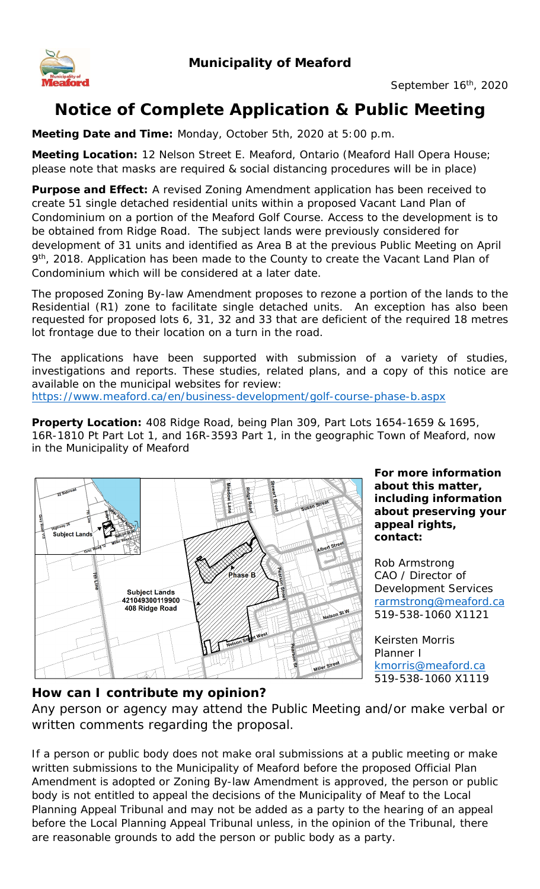

# **Notice of Complete Application & Public Meeting**

**Meeting Date and Time:** Monday, October 5th, 2020 at 5:00 p.m.

**Meeting Location:** 12 Nelson Street E. Meaford, Ontario (Meaford Hall Opera House; please note that masks are required & social distancing procedures will be in place)

**Purpose and Effect:** A revised Zoning Amendment application has been received to create 51 single detached residential units within a proposed Vacant Land Plan of Condominium on a portion of the Meaford Golf Course. Access to the development is to be obtained from Ridge Road. The subject lands were previously considered for development of 31 units and identified as Area B at the previous Public Meeting on April 9<sup>th</sup>, 2018. Application has been made to the County to create the Vacant Land Plan of Condominium which will be considered at a later date.

The proposed Zoning By-law Amendment proposes to rezone a portion of the lands to the Residential (R1) zone to facilitate single detached units. An exception has also been requested for proposed lots 6, 31, 32 and 33 that are deficient of the required 18 metres lot frontage due to their location on a turn in the road.

The applications have been supported with submission of a variety of studies, investigations and reports. These studies, related plans, and a copy of this notice are available on the municipal websites for review: https://www.meaford.ca/en/business-development/golf-course-phase-b.aspx

**Property Location:** 408 Ridge Road, being Plan 309, Part Lots 1654-1659 & 1695, 16R-1810 Pt Part Lot 1, and 16R-3593 Part 1, in the geographic Town of Meaford, now in the Municipality of Meaford



**For more information about this matter, including information about preserving your appeal rights, contact:** 

Rob Armstrong CAO / Director of Development Services rarmstrong@meaford.ca 519-538-1060 X1121

Keirsten Morris Planner I kmorris@meaford.ca 519-538-1060 X1119

#### **How can I contribute my opinion?**

Any person or agency may attend the Public Meeting and/or make verbal or written comments regarding the proposal.

If a person or public body does not make oral submissions at a public meeting or make written submissions to the Municipality of Meaford before the proposed Official Plan Amendment is adopted or Zoning By-law Amendment is approved, the person or public body is not entitled to appeal the decisions of the Municipality of Meaf to the Local Planning Appeal Tribunal and may not be added as a party to the hearing of an appeal before the Local Planning Appeal Tribunal unless, in the opinion of the Tribunal, there are reasonable grounds to add the person or public body as a party.